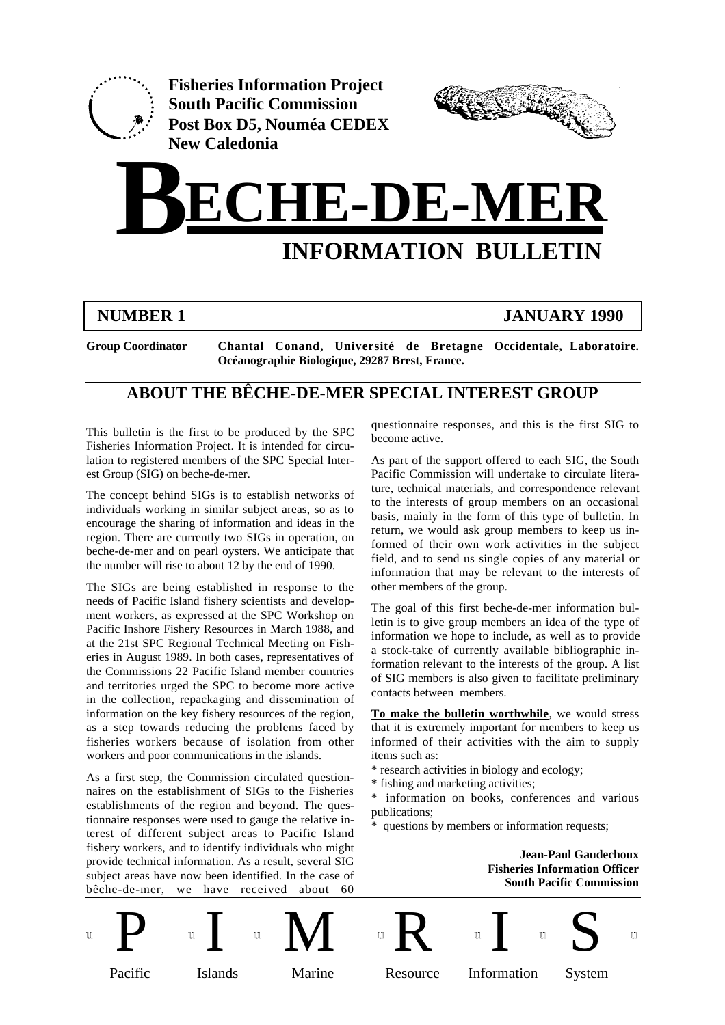

**Fisheries Information Project South Pacific Commission Post Box D5, Nouméa CEDEX New Caledonia**



# **BECHE-DE-MER INFORMATION BULLETIN**

# **NUMBER 1 JANUARY 1990**

**Group Coordinator Chantal Conand, Université de Bretagne Occidentale, Laboratoire. Océanographie Biologique, 29287 Brest, France.**

# **ABOUT THE BÊCHE-DE-MER SPECIAL INTEREST GROUP**

This bulletin is the first to be produced by the SPC Fisheries Information Project. It is intended for circulation to registered members of the SPC Special Interest Group (SIG) on beche-de-mer.

The concept behind SIGs is to establish networks of individuals working in similar subject areas, so as to encourage the sharing of information and ideas in the region. There are currently two SIGs in operation, on beche-de-mer and on pearl oysters. We anticipate that the number will rise to about 12 by the end of 1990.

The SIGs are being established in response to the needs of Pacific Island fishery scientists and development workers, as expressed at the SPC Workshop on Pacific Inshore Fishery Resources in March 1988, and at the 21st SPC Regional Technical Meeting on Fisheries in August 1989. In both cases, representatives of the Commissions 22 Pacific Island member countries and territories urged the SPC to become more active in the collection, repackaging and dissemination of information on the key fishery resources of the region, as a step towards reducing the problems faced by fisheries workers because of isolation from other workers and poor communications in the islands.

As a first step, the Commission circulated questionnaires on the establishment of SIGs to the Fisheries establishments of the region and beyond. The questionnaire responses were used to gauge the relative interest of different subject areas to Pacific Island fishery workers, and to identify individuals who might provide technical information. As a result, several SIG subject areas have now been identified. In the case of bêche-de-mer, we have received about 60

questionnaire responses, and this is the first SIG to become active.

As part of the support offered to each SIG, the South Pacific Commission will undertake to circulate literature, technical materials, and correspondence relevant to the interests of group members on an occasional basis, mainly in the form of this type of bulletin. In return, we would ask group members to keep us informed of their own work activities in the subject field, and to send us single copies of any material or information that may be relevant to the interests of other members of the group.

The goal of this first beche-de-mer information bulletin is to give group members an idea of the type of information we hope to include, as well as to provide a stock-take of currently available bibliographic information relevant to the interests of the group. A list of SIG members is also given to facilitate preliminary contacts between members.

**To make the bulletin worthwhile**, we would stress that it is extremely important for members to keep us informed of their activities with the aim to supply items such as:

- \* research activities in biology and ecology;
- \* fishing and marketing activities;

\* information on books, conferences and various publications;

questions by members or information requests;

**Jean-Paul Gaudechoux Fisheries Information Officer South Pacific Commission**

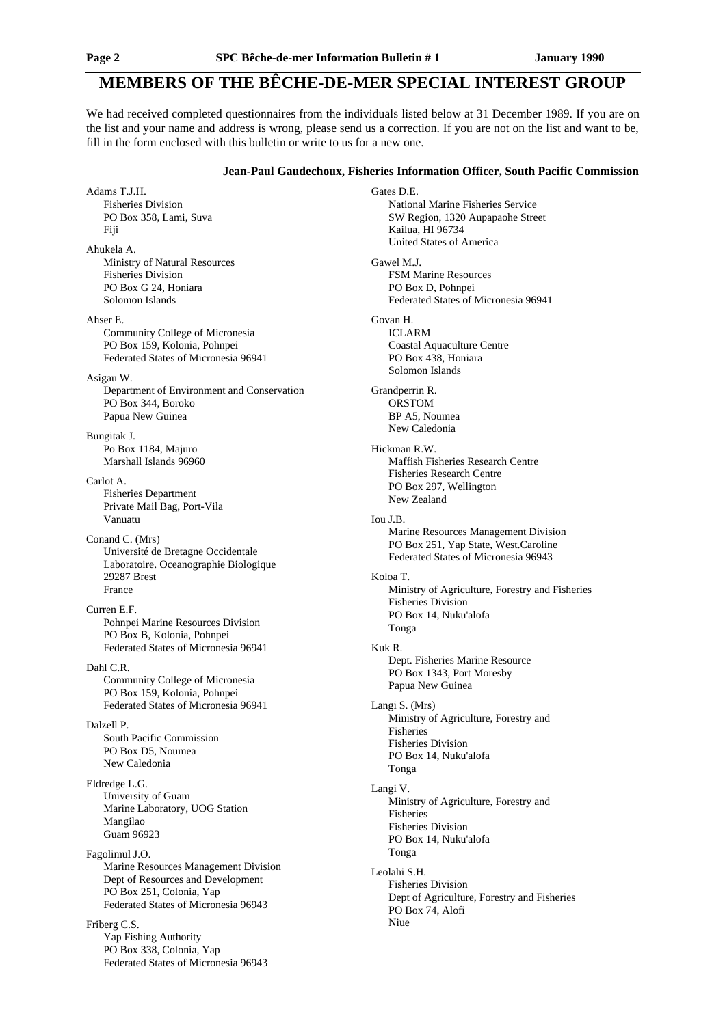# **MEMBERS OF THE BÊCHE-DE-MER SPECIAL INTEREST GROUP**

We had received completed questionnaires from the individuals listed below at 31 December 1989. If you are on the list and your name and address is wrong, please send us a correction. If you are not on the list and want to be, fill in the form enclosed with this bulletin or write to us for a new one.

#### **Jean-Paul Gaudechoux, Fisheries Information Officer, South Pacific Commission**

Gates D.E.

Adams T.J.H. Fisheries Division PO Box 358, Lami, Suva Fiji Ahukela A. Ministry of Natural Resources Fisheries Division PO Box G 24, Honiara Solomon Islands Ahser E. Community College of Micronesia PO Box 159, Kolonia, Pohnpei Federated States of Micronesia 96941 Asigau W. Department of Environment and Conservation PO Box 344, Boroko Papua New Guinea Bungitak J. Po Box 1184, Majuro Marshall Islands 96960 Carlot A. Fisheries Department Private Mail Bag, Port-Vila Vanuatu Conand C. (Mrs) Université de Bretagne Occidentale Laboratoire. Oceanographie Biologique 29287 Brest France Curren E.F. Pohnpei Marine Resources Division PO Box B, Kolonia, Pohnpei Federated States of Micronesia 96941 Dahl C.R. Community College of Micronesia PO Box 159, Kolonia, Pohnpei Federated States of Micronesia 96941 Dalzell P. South Pacific Commission PO Box D5, Noumea New Caledonia Eldredge L.G. University of Guam Marine Laboratory, UOG Station Mangilao Guam 96923 Fagolimul J.O. Marine Resources Management Division Dept of Resources and Development PO Box 251, Colonia, Yap Federated States of Micronesia 96943 Friberg C.S. Yap Fishing Authority PO Box 338, Colonia, Yap

Federated States of Micronesia 96943

National Marine Fisheries Service SW Region, 1320 Aupapaohe Street Kailua, HI 96734 United States of America Gawel M.J. FSM Marine Resources PO Box D, Pohnpei Federated States of Micronesia 96941 Govan H. ICLARM Coastal Aquaculture Centre PO Box 438, Honiara Solomon Islands Grandperrin R. ORSTOM BP A5, Noumea New Caledonia Hickman R.W. Maffish Fisheries Research Centre Fisheries Research Centre PO Box 297, Wellington New Zealand Iou J.B. Marine Resources Management Division PO Box 251, Yap State, West.Caroline Federated States of Micronesia 96943 Koloa T. Ministry of Agriculture, Forestry and Fisheries Fisheries Division PO Box 14, Nuku'alofa Tonga Kuk R. Dept. Fisheries Marine Resource PO Box 1343, Port Moresby Papua New Guinea Langi S. (Mrs) Ministry of Agriculture, Forestry and Fisheries Fisheries Division PO Box 14, Nuku'alofa Tonga Langi V. Ministry of Agriculture, Forestry and Fisheries Fisheries Division PO Box 14, Nuku'alofa Tonga Leolahi S.H. Fisheries Division Dept of Agriculture, Forestry and Fisheries PO Box 74, Alofi Niue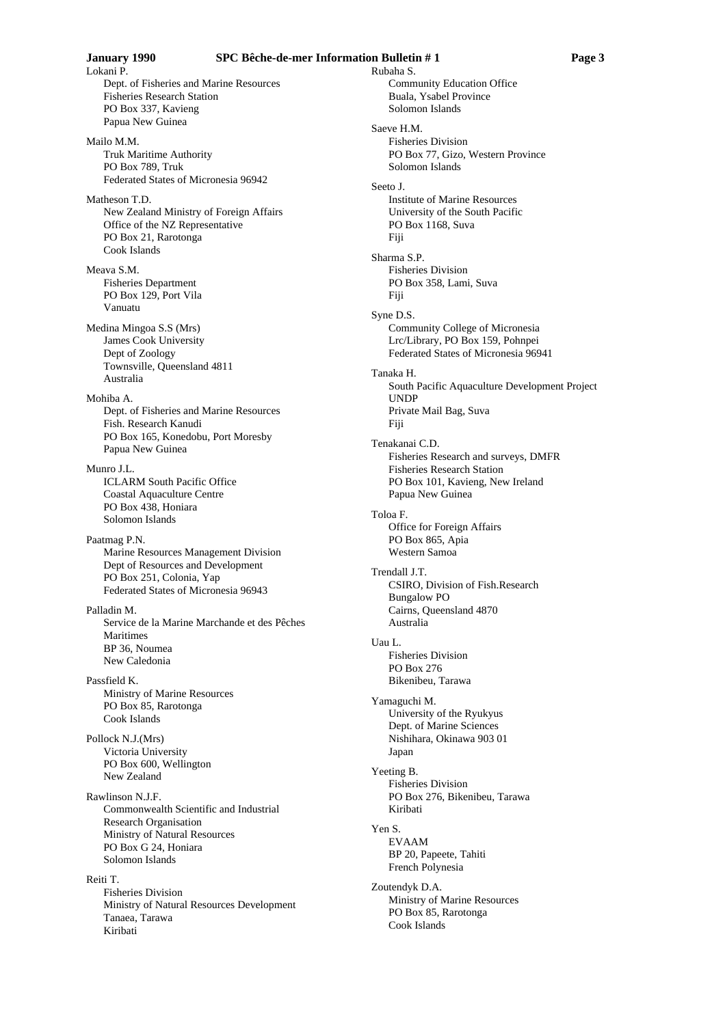Rubaha S.

Dept. of Fisheries and Marine Resources Fisheries Research Station PO Box 337, Kavieng Papua New Guinea

Mailo M.M. Truk Maritime Authority PO Box 789, Truk Federated States of Micronesia 96942

Matheson T.D. New Zealand Ministry of Foreign Affairs Office of the NZ Representative PO Box 21, Rarotonga Cook Islands

Meava S.M. Fisheries Department PO Box 129, Port Vila Vanuatu

Medina Mingoa S.S (Mrs) James Cook University Dept of Zoology Townsville, Queensland 4811 Australia

Mohiba A. Dept. of Fisheries and Marine Resources Fish. Research Kanudi PO Box 165, Konedobu, Port Moresby Papua New Guinea

Munro II. ICLARM South Pacific Office Coastal Aquaculture Centre PO Box 438, Honiara Solomon Islands

Paatmag P.N. Marine Resources Management Division Dept of Resources and Development PO Box 251, Colonia, Yap Federated States of Micronesia 96943

Palladin M. Service de la Marine Marchande et des Pêches Maritimes BP 36, Noumea New Caledonia

Passfield K. Ministry of Marine Resources PO Box 85, Rarotonga Cook Islands

Pollock N.J.(Mrs) Victoria University PO Box 600, Wellington New Zealand

Rawlinson N.J.F. Commonwealth Scientific and Industrial Research Organisation Ministry of Natural Resources PO Box G 24, Honiara Solomon Islands

Reiti T. Fisheries Division Ministry of Natural Resources Development Tanaea, Tarawa Kiribati

Community Education Office Buala, Ysabel Province Solomon Islands Saeve H.M. Fisheries Division PO Box 77, Gizo, Western Province Solomon Islands Seeto J. Institute of Marine Resources University of the South Pacific PO Box 1168, Suva Fiji Sharma S.P. Fisheries Division PO Box 358, Lami, Suva Fiji Syne D.S. Community College of Micronesia Lrc/Library, PO Box 159, Pohnpei Federated States of Micronesia 96941 Tanaka H. South Pacific Aquaculture Development Project UNDP Private Mail Bag, Suva Fiji Tenakanai C.D. Fisheries Research and surveys, DMFR Fisheries Research Station PO Box 101, Kavieng, New Ireland Papua New Guinea Toloa F. Office for Foreign Affairs PO Box 865, Apia Western Samoa Trendall J.T. CSIRO, Division of Fish.Research Bungalow PO Cairns, Queensland 4870 Australia Uau L. Fisheries Division PO Box 276 Bikenibeu, Tarawa Yamaguchi M. University of the Ryukyus Dept. of Marine Sciences Nishihara, Okinawa 903 01 Japan Yeeting B. Fisheries Division PO Box 276, Bikenibeu, Tarawa Kiribati Yen S. EVAAM BP 20, Papeete, Tahiti French Polynesia Zoutendyk D.A. Ministry of Marine Resources

PO Box 85, Rarotonga

Cook Islands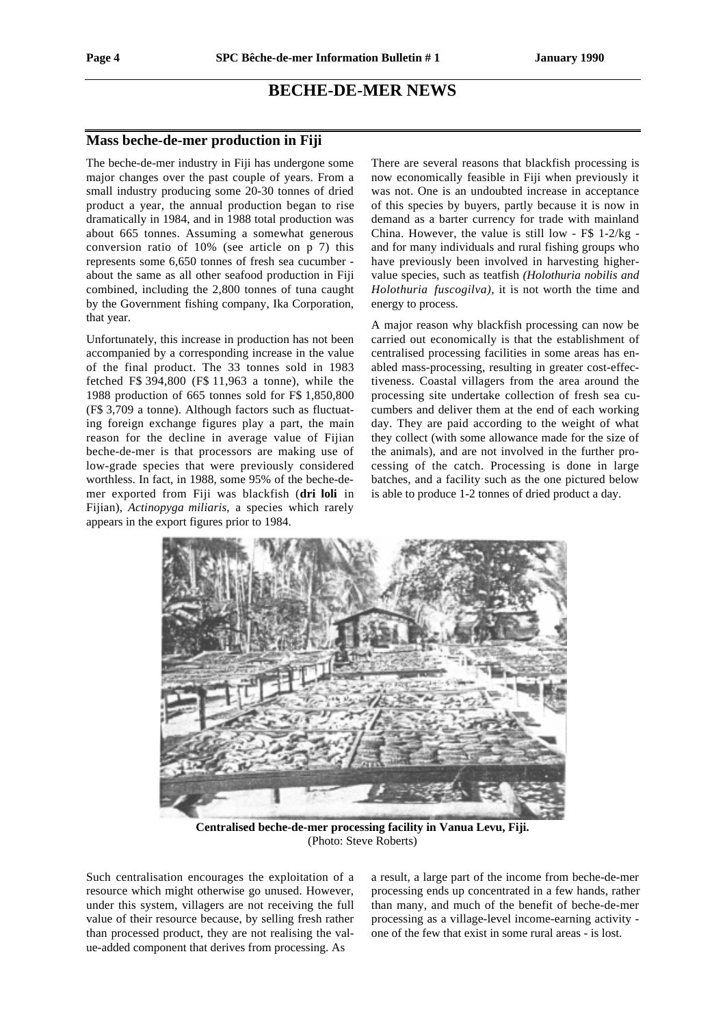# **BECHE-DE-MER NEWS**

#### **Mass beche-de-mer production in Fiji**

The beche-de-mer industry in Fiji has undergone some major changes over the past couple of years. From a small industry producing some 20-30 tonnes of dried product a year, the annual production began to rise dramatically in 1984, and in 1988 total production was about 665 tonnes. Assuming a somewhat generous conversion ratio of 10% (see article on p 7) this represents some 6,650 tonnes of fresh sea cucumber about the same as all other seafood production in Fiji combined, including the 2,800 tonnes of tuna caught by the Government fishing company, Ika Corporation, that year.

Unfortunately, this increase in production has not been accompanied by a corresponding increase in the value of the final product. The 33 tonnes sold in 1983 fetched F\$ 394,800 (F\$ 11,963 a tonne), while the 1988 production of 665 tonnes sold for F\$ 1,850,800 (F\$ 3,709 a tonne). Although factors such as fluctuating foreign exchange figures play a part, the main reason for the decline in average value of Fijian beche-de-mer is that processors are making use of low-grade species that were previously considered worthless. In fact, in 1988, some 95% of the beche-demer exported from Fiji was blackfish (**dri loli** in Fijian), *Actinopyga miliaris*, a species which rarely appears in the export figures prior to 1984.

There are several reasons that blackfish processing is now economically feasible in Fiji when previously it was not. One is an undoubted increase in acceptance of this species by buyers, partly because it is now in demand as a barter currency for trade with mainland China. However, the value is still low - F\$ 1-2/kg and for many individuals and rural fishing groups who have previously been involved in harvesting highervalue species, such as teatfish *(Holothuria nobilis and Holothuria fuscogilva),* it is not worth the time and energy to process.

A major reason why blackfish processing can now be carried out economically is that the establishment of centralised processing facilities in some areas has enabled mass-processing, resulting in greater cost-effectiveness. Coastal villagers from the area around the processing site undertake collection of fresh sea cucumbers and deliver them at the end of each working day. They are paid according to the weight of what they collect (with some allowance made for the size of the animals), and are not involved in the further processing of the catch. Processing is done in large batches, and a facility such as the one pictured below is able to produce 1-2 tonnes of dried product a day.



**Centralised beche-de-mer processing facility in Vanua Levu, Fiji.** (Photo: Steve Roberts)

Such centralisation encourages the exploitation of a resource which might otherwise go unused. However, under this system, villagers are not receiving the full value of their resource because, by selling fresh rather than processed product, they are not realising the value-added component that derives from processing. As

a result, a large part of the income from beche-de-mer processing ends up concentrated in a few hands, rather than many, and much of the benefit of beche-de-mer processing as a village-level income-earning activity one of the few that exist in some rural areas - is lost.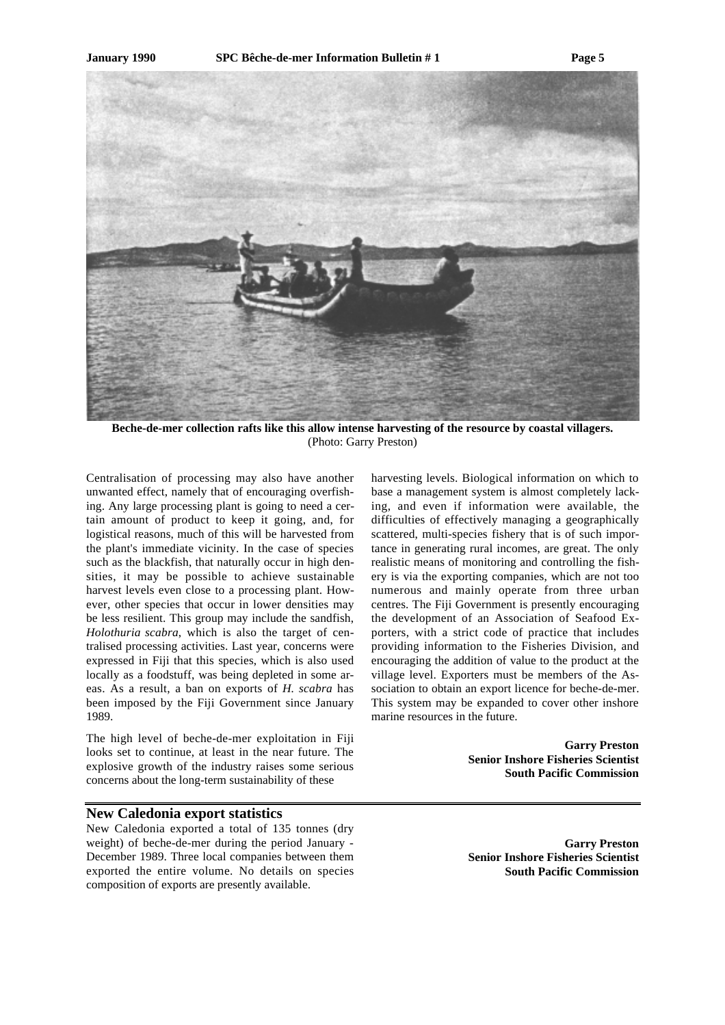

**Beche-de-mer collection rafts like this allow intense harvesting of the resource by coastal villagers.** (Photo: Garry Preston)

Centralisation of processing may also have another unwanted effect, namely that of encouraging overfishing. Any large processing plant is going to need a certain amount of product to keep it going, and, for logistical reasons, much of this will be harvested from the plant's immediate vicinity. In the case of species such as the blackfish, that naturally occur in high densities, it may be possible to achieve sustainable harvest levels even close to a processing plant. However, other species that occur in lower densities may be less resilient. This group may include the sandfish, *Holothuria scabra*, which is also the target of centralised processing activities. Last year, concerns were expressed in Fiji that this species, which is also used locally as a foodstuff, was being depleted in some areas. As a result, a ban on exports of *H. scabra* has been imposed by the Fiji Government since January 1989.

The high level of beche-de-mer exploitation in Fiji looks set to continue, at least in the near future. The explosive growth of the industry raises some serious concerns about the long-term sustainability of these

#### **New Caledonia export statistics**

New Caledonia exported a total of 135 tonnes (dry weight) of beche-de-mer during the period January - December 1989. Three local companies between them exported the entire volume. No details on species composition of exports are presently available.

harvesting levels. Biological information on which to base a management system is almost completely lacking, and even if information were available, the difficulties of effectively managing a geographically scattered, multi-species fishery that is of such importance in generating rural incomes, are great. The only realistic means of monitoring and controlling the fishery is via the exporting companies, which are not too numerous and mainly operate from three urban centres. The Fiji Government is presently encouraging the development of an Association of Seafood Exporters, with a strict code of practice that includes providing information to the Fisheries Division, and encouraging the addition of value to the product at the village level. Exporters must be members of the Association to obtain an export licence for beche-de-mer. This system may be expanded to cover other inshore marine resources in the future.

> **Garry Preston Senior Inshore Fisheries Scientist South Pacific Commission**

> **Garry Preston Senior Inshore Fisheries Scientist South Pacific Commission**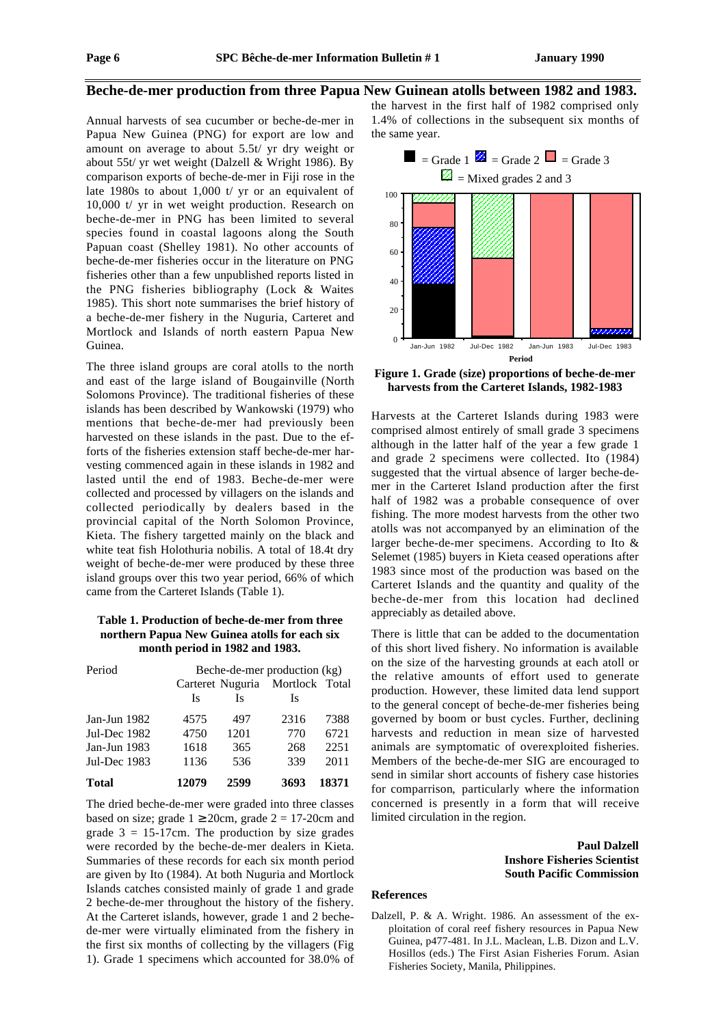#### **Beche-de-mer production from three Papua New Guinean atolls between 1982 and 1983.**

Annual harvests of sea cucumber or beche-de-mer in Papua New Guinea (PNG) for export are low and amount on average to about 5.5t/ yr dry weight or about 55t/ yr wet weight (Dalzell & Wright 1986). By comparison exports of beche-de-mer in Fiji rose in the late 1980s to about 1,000 t/ yr or an equivalent of 10,000 t/ yr in wet weight production. Research on beche-de-mer in PNG has been limited to several species found in coastal lagoons along the South Papuan coast (Shelley 1981). No other accounts of beche-de-mer fisheries occur in the literature on PNG fisheries other than a few unpublished reports listed in the PNG fisheries bibliography (Lock & Waites 1985). This short note summarises the brief history of a beche-de-mer fishery in the Nuguria, Carteret and Mortlock and Islands of north eastern Papua New Guinea.

The three island groups are coral atolls to the north and east of the large island of Bougainville (North Solomons Province). The traditional fisheries of these islands has been described by Wankowski (1979) who mentions that beche-de-mer had previously been harvested on these islands in the past. Due to the efforts of the fisheries extension staff beche-de-mer harvesting commenced again in these islands in 1982 and lasted until the end of 1983. Beche-de-mer were collected and processed by villagers on the islands and collected periodically by dealers based in the provincial capital of the North Solomon Province, Kieta. The fishery targetted mainly on the black and white teat fish Holothuria nobilis. A total of 18.4t dry weight of beche-de-mer were produced by these three island groups over this two year period, 66% of which came from the Carteret Islands (Table 1).

#### **Table 1. Production of beche-de-mer from three northern Papua New Guinea atolls for each six month period in 1982 and 1983.**

| Period       | Beche-de-mer production (kg) |      |                                 |       |  |
|--------------|------------------------------|------|---------------------------------|-------|--|
|              |                              |      | Carteret Nuguria Mortlock Total |       |  |
|              | Is                           | Is   | Is                              |       |  |
| Jan-Jun 1982 | 4575                         | 497  | 2316                            | 7388  |  |
| Jul-Dec 1982 | 4750                         | 1201 | 770                             | 6721  |  |
| Jan-Jun 1983 | 1618                         | 365  | 268                             | 2251  |  |
| Jul-Dec 1983 | 1136                         | 536  | 339                             | 2011  |  |
| <b>Total</b> | 12079                        | 2599 | 3693                            | 18371 |  |

The dried beche-de-mer were graded into three classes based on size; grade  $1 \ge 20$ cm, grade  $2 = 17$ -20cm and grade  $3 = 15-17$ cm. The production by size grades were recorded by the beche-de-mer dealers in Kieta. Summaries of these records for each six month period are given by Ito (1984). At both Nuguria and Mortlock Islands catches consisted mainly of grade 1 and grade 2 beche-de-mer throughout the history of the fishery. At the Carteret islands, however, grade 1 and 2 bechede-mer were virtually eliminated from the fishery in the first six months of collecting by the villagers (Fig 1). Grade 1 specimens which accounted for 38.0% of

the harvest in the first half of 1982 comprised only 1.4% of collections in the subsequent six months of the same year.



**Figure 1. Grade (size) proportions of beche-de-mer harvests from the Carteret Islands, 1982-1983**

Harvests at the Carteret Islands during 1983 were comprised almost entirely of small grade 3 specimens although in the latter half of the year a few grade 1 and grade 2 specimens were collected. Ito (1984) suggested that the virtual absence of larger beche-demer in the Carteret Island production after the first half of 1982 was a probable consequence of over fishing. The more modest harvests from the other two atolls was not accompanyed by an elimination of the larger beche-de-mer specimens. According to Ito & Selemet (1985) buyers in Kieta ceased operations after 1983 since most of the production was based on the Carteret Islands and the quantity and quality of the beche-de-mer from this location had declined appreciably as detailed above.

There is little that can be added to the documentation of this short lived fishery. No information is available on the size of the harvesting grounds at each atoll or the relative amounts of effort used to generate production. However, these limited data lend support to the general concept of beche-de-mer fisheries being governed by boom or bust cycles. Further, declining harvests and reduction in mean size of harvested animals are symptomatic of overexploited fisheries. Members of the beche-de-mer SIG are encouraged to send in similar short accounts of fishery case histories for comparrison, particularly where the information concerned is presently in a form that will receive limited circulation in the region.

#### **Paul Dalzell Inshore Fisheries Scientist South Pacific Commission**

#### **References**

Dalzell, P. & A. Wright. 1986. An assessment of the exploitation of coral reef fishery resources in Papua New Guinea, p477-481. In J.L. Maclean, L.B. Dizon and L.V. Hosillos (eds.) The First Asian Fisheries Forum. Asian Fisheries Society, Manila, Philippines.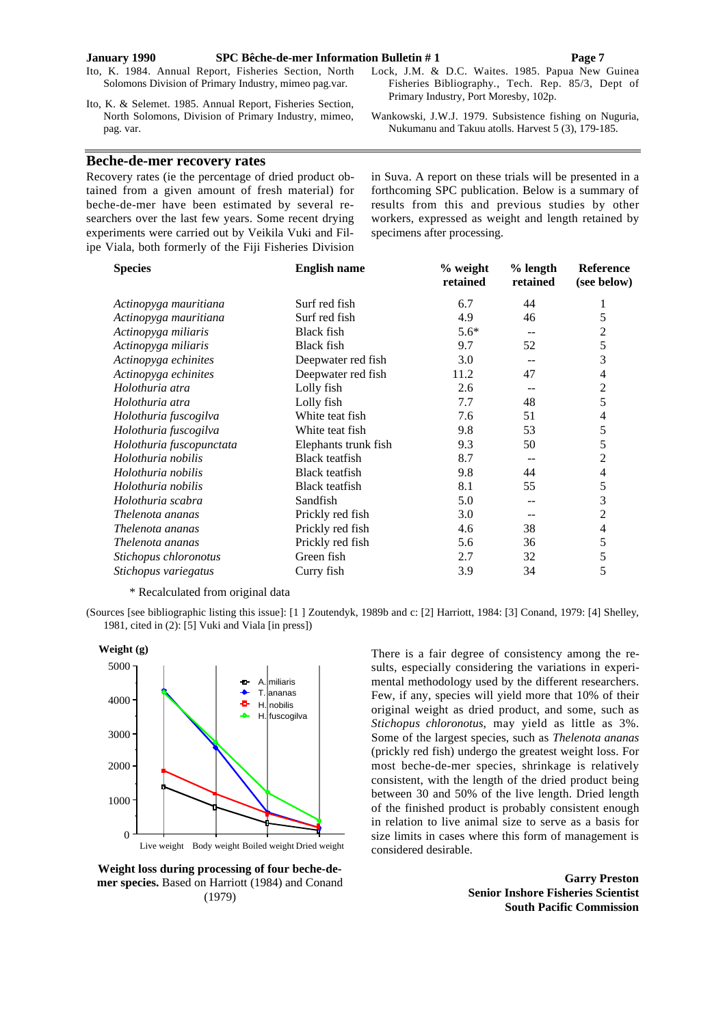#### **January 1990 SPC Bêche-de-mer Information Bulletin # 1 Page 7**

Ito, K. 1984. Annual Report, Fisheries Section, North Solomons Division of Primary Industry, mimeo pag.var.

Ito, K. & Selemet. 1985. Annual Report, Fisheries Section, North Solomons, Division of Primary Industry, mimeo, pag. var.

#### **Beche-de-mer recovery rates**

Recovery rates (ie the percentage of dried product obtained from a given amount of fresh material) for beche-de-mer have been estimated by several researchers over the last few years. Some recent drying experiments were carried out by Veikila Vuki and Filipe Viala, both formerly of the Fiji Fisheries Division in Suva. A report on these trials will be presented in a forthcoming SPC publication. Below is a summary of results from this and previous studies by other workers, expressed as weight and length retained by specimens after processing.

Lock, J.M. & D.C. Waites. 1985. Papua New Guinea Fisheries Bibliography., Tech. Rep. 85/3, Dept of

Wankowski, J.W.J. 1979. Subsistence fishing on Nuguria, Nukumanu and Takuu atolls. Harvest 5 (3), 179-185.

Primary Industry, Port Moresby, 102p.

| <b>Species</b>           | <b>English name</b>   | % weight<br>retained | $%$ length<br>retained | <b>Reference</b><br>(see below) |
|--------------------------|-----------------------|----------------------|------------------------|---------------------------------|
| Actinopyga mauritiana    | Surf red fish         | 6.7                  | 44                     | 1                               |
| Actinopyga mauritiana    | Surf red fish         | 4.9                  | 46                     | 5                               |
| Actinopyga miliaris      | <b>Black fish</b>     | $5.6*$               | --                     | 2                               |
| Actinopyga miliaris      | <b>Black fish</b>     | 9.7                  | 52                     | 5                               |
| Actinopyga echinites     | Deepwater red fish    | 3.0                  |                        | 3                               |
| Actinopyga echinites     | Deepwater red fish    | 11.2                 | 47                     | 4                               |
| Holothuria atra          | Lolly fish            | 2.6                  | --                     | $\overline{c}$                  |
| Holothuria atra          | Lolly fish            | 7.7                  | 48                     | 5                               |
| Holothuria fuscogilva    | White teat fish       | 7.6                  | 51                     | 4                               |
| Holothuria fuscogilva    | White teat fish       | 9.8                  | 53                     | 5                               |
| Holothuria fuscopunctata | Elephants trunk fish  | 9.3                  | 50                     | 5                               |
| Holothuria nobilis       | <b>Black</b> teatfish | 8.7                  |                        | 2                               |
| Holothuria nobilis       | <b>Black teatfish</b> | 9.8                  | 44                     | 4                               |
| Holothuria nobilis       | Black teatfish        | 8.1                  | 55                     | 5                               |
| Holothuria scabra        | Sandfish              | 5.0                  |                        | 3                               |
| Thelenota ananas         | Prickly red fish      | 3.0                  | --                     | $\overline{c}$                  |
| Thelenota ananas         | Prickly red fish      | 4.6                  | 38                     | 4                               |
| Thelenota ananas         | Prickly red fish      | 5.6                  | 36                     | 5                               |
| Stichopus chloronotus    | Green fish            | 2.7                  | 32                     | 5                               |
| Stichopus variegatus     | Curry fish            | 3.9                  | 34                     | 5                               |

\* Recalculated from original data





**Weight loss during processing of four beche-de-**

**mer species.** Based on Harriott (1984) and Conand (1979)

There is a fair degree of consistency among the results, especially considering the variations in experimental methodology used by the different researchers. Few, if any, species will yield more that 10% of their original weight as dried product, and some, such as *Stichopus chloronotus*, may yield as little as 3%. Some of the largest species, such as *Thelenota ananas* (prickly red fish) undergo the greatest weight loss. For most beche-de-mer species, shrinkage is relatively consistent, with the length of the dried product being between 30 and 50% of the live length. Dried length of the finished product is probably consistent enough in relation to live animal size to serve as a basis for size limits in cases where this form of management is considered desirable.

> **Garry Preston Senior Inshore Fisheries Scientist South Pacific Commission**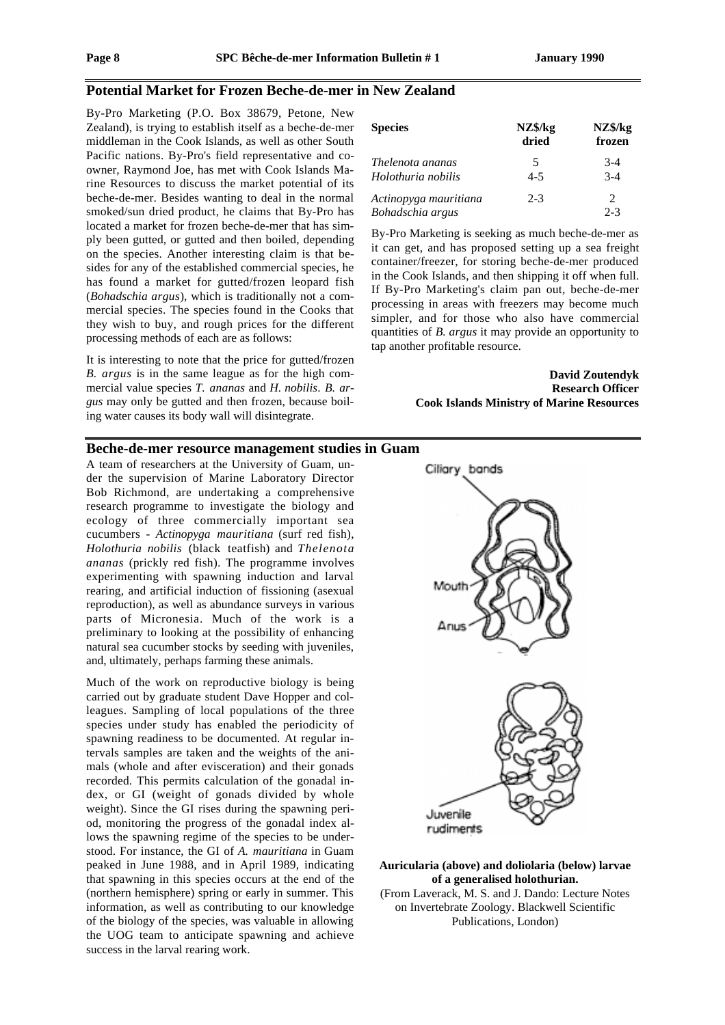### **Potential Market for Frozen Beche-de-mer in New Zealand**

By-Pro Marketing (P.O. Box 38679, Petone, New Zealand), is trying to establish itself as a beche-de-mer middleman in the Cook Islands, as well as other South Pacific nations. By-Pro's field representative and coowner, Raymond Joe, has met with Cook Islands Marine Resources to discuss the market potential of its beche-de-mer. Besides wanting to deal in the normal smoked/sun dried product, he claims that By-Pro has located a market for frozen beche-de-mer that has simply been gutted, or gutted and then boiled, depending on the species. Another interesting claim is that besides for any of the established commercial species, he has found a market for gutted/frozen leopard fish (*Bohadschia argus*), which is traditionally not a commercial species. The species found in the Cooks that they wish to buy, and rough prices for the different processing methods of each are as follows:

It is interesting to note that the price for gutted/frozen *B. argus* is in the same league as for the high commercial value species *T. ananas* and *H. nobilis*. *B. argus* may only be gutted and then frozen, because boiling water causes its body wall will disintegrate.

| <b>Species</b>                              | NZ\$/kg<br>dried | NZ\$/kg<br>frozen |
|---------------------------------------------|------------------|-------------------|
| Thelenota ananas                            | 5<br>$4 - 5$     | $3-4$<br>$3-4$    |
| Holothuria nobilis<br>Actinopyga mauritiana | $2 - 3$          | $\mathcal{L}$     |
| Bohadschia argus                            |                  | $2 - 3$           |

By-Pro Marketing is seeking as much beche-de-mer as it can get, and has proposed setting up a sea freight container/freezer, for storing beche-de-mer produced in the Cook Islands, and then shipping it off when full. If By-Pro Marketing's claim pan out, beche-de-mer processing in areas with freezers may become much simpler, and for those who also have commercial quantities of *B. argus* it may provide an opportunity to tap another profitable resource.

> **David Zoutendyk Research Officer Cook Islands Ministry of Marine Resources**

#### **Beche-de-mer resource management studies in Guam**

A team of researchers at the University of Guam, under the supervision of Marine Laboratory Director Bob Richmond, are undertaking a comprehensive research programme to investigate the biology and ecology of three commercially important sea cucumbers - *Actinopyga mauritiana* (surf red fish), *Holothuria nobilis* (black teatfish) and *Thelenota ananas* (prickly red fish). The programme involves experimenting with spawning induction and larval rearing, and artificial induction of fissioning (asexual reproduction), as well as abundance surveys in various parts of Micronesia. Much of the work is a preliminary to looking at the possibility of enhancing natural sea cucumber stocks by seeding with juveniles, and, ultimately, perhaps farming these animals.

Much of the work on reproductive biology is being carried out by graduate student Dave Hopper and colleagues. Sampling of local populations of the three species under study has enabled the periodicity of spawning readiness to be documented. At regular intervals samples are taken and the weights of the animals (whole and after evisceration) and their gonads recorded. This permits calculation of the gonadal index, or GI (weight of gonads divided by whole weight). Since the GI rises during the spawning period, monitoring the progress of the gonadal index allows the spawning regime of the species to be understood. For instance, the GI of *A. mauritiana* in Guam peaked in June 1988, and in April 1989, indicating that spawning in this species occurs at the end of the (northern hemisphere) spring or early in summer. This information, as well as contributing to our knowledge of the biology of the species, was valuable in allowing the UOG team to anticipate spawning and achieve success in the larval rearing work.



rudiments

#### **Auricularia (above) and doliolaria (below) larvae of a generalised holothurian.**

(From Laverack, M. S. and J. Dando: Lecture Notes on Invertebrate Zoology. Blackwell Scientific Publications, London)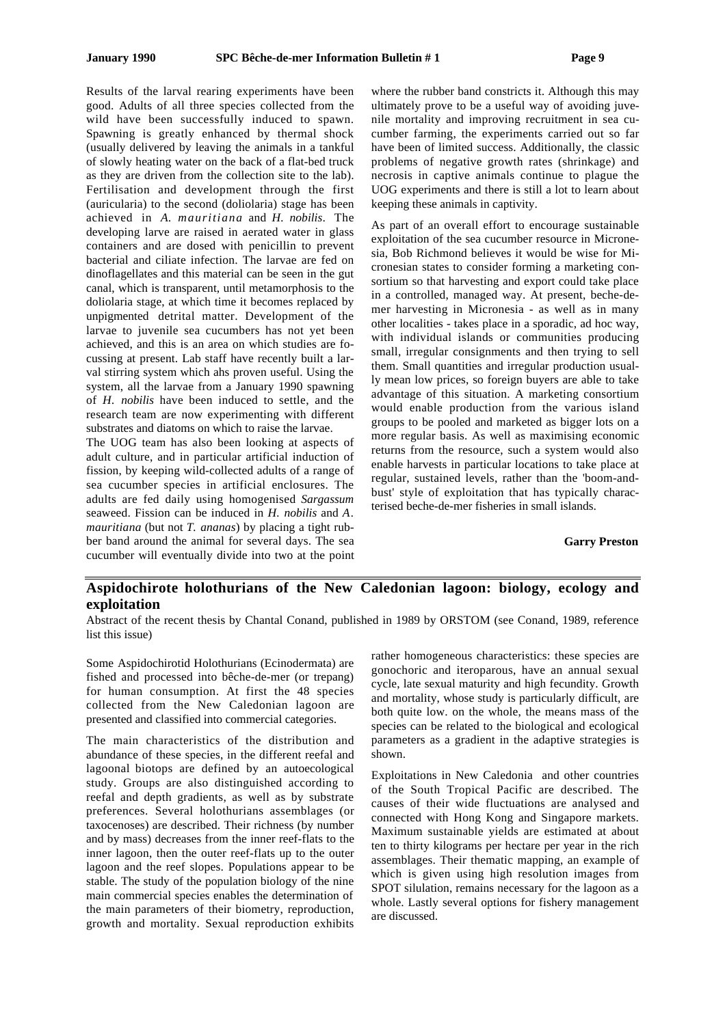Results of the larval rearing experiments have been good. Adults of all three species collected from the wild have been successfully induced to spawn. Spawning is greatly enhanced by thermal shock (usually delivered by leaving the animals in a tankful of slowly heating water on the back of a flat-bed truck as they are driven from the collection site to the lab). Fertilisation and development through the first (auricularia) to the second (doliolaria) stage has been achieved in *A. mauritiana* and *H. nobilis*. The developing larve are raised in aerated water in glass containers and are dosed with penicillin to prevent bacterial and ciliate infection. The larvae are fed on dinoflagellates and this material can be seen in the gut canal, which is transparent, until metamorphosis to the doliolaria stage, at which time it becomes replaced by unpigmented detrital matter. Development of the larvae to juvenile sea cucumbers has not yet been achieved, and this is an area on which studies are focussing at present. Lab staff have recently built a larval stirring system which ahs proven useful. Using the system, all the larvae from a January 1990 spawning of *H. nobilis* have been induced to settle, and the research team are now experimenting with different substrates and diatoms on which to raise the larvae.

The UOG team has also been looking at aspects of adult culture, and in particular artificial induction of fission, by keeping wild-collected adults of a range of sea cucumber species in artificial enclosures. The adults are fed daily using homogenised *Sargassum* seaweed. Fission can be induced in *H. nobilis* and *A. mauritiana* (but not *T. ananas*) by placing a tight rubber band around the animal for several days. The sea cucumber will eventually divide into two at the point

where the rubber band constricts it. Although this may ultimately prove to be a useful way of avoiding juvenile mortality and improving recruitment in sea cucumber farming, the experiments carried out so far have been of limited success. Additionally, the classic problems of negative growth rates (shrinkage) and necrosis in captive animals continue to plague the UOG experiments and there is still a lot to learn about keeping these animals in captivity.

As part of an overall effort to encourage sustainable exploitation of the sea cucumber resource in Micronesia, Bob Richmond believes it would be wise for Micronesian states to consider forming a marketing consortium so that harvesting and export could take place in a controlled, managed way. At present, beche-demer harvesting in Micronesia - as well as in many other localities - takes place in a sporadic, ad hoc way, with individual islands or communities producing small, irregular consignments and then trying to sell them. Small quantities and irregular production usually mean low prices, so foreign buyers are able to take advantage of this situation. A marketing consortium would enable production from the various island groups to be pooled and marketed as bigger lots on a more regular basis. As well as maximising economic returns from the resource, such a system would also enable harvests in particular locations to take place at regular, sustained levels, rather than the 'boom-andbust' style of exploitation that has typically characterised beche-de-mer fisheries in small islands.

**Garry Preston**

## **Aspidochirote holothurians of the New Caledonian lagoon: biology, ecology and exploitation**

Abstract of the recent thesis by Chantal Conand, published in 1989 by ORSTOM (see Conand, 1989, reference list this issue)

Some Aspidochirotid Holothurians (Ecinodermata) are fished and processed into bêche-de-mer (or trepang) for human consumption. At first the 48 species collected from the New Caledonian lagoon are presented and classified into commercial categories.

The main characteristics of the distribution and abundance of these species, in the different reefal and lagoonal biotops are defined by an autoecological study. Groups are also distinguished according to reefal and depth gradients, as well as by substrate preferences. Several holothurians assemblages (or taxocenoses) are described. Their richness (by number and by mass) decreases from the inner reef-flats to the inner lagoon, then the outer reef-flats up to the outer lagoon and the reef slopes. Populations appear to be stable. The study of the population biology of the nine main commercial species enables the determination of the main parameters of their biometry, reproduction, growth and mortality. Sexual reproduction exhibits

rather homogeneous characteristics: these species are gonochoric and iteroparous, have an annual sexual cycle, late sexual maturity and high fecundity. Growth and mortality, whose study is particularly difficult, are both quite low. on the whole, the means mass of the species can be related to the biological and ecological parameters as a gradient in the adaptive strategies is shown.

Exploitations in New Caledonia and other countries of the South Tropical Pacific are described. The causes of their wide fluctuations are analysed and connected with Hong Kong and Singapore markets. Maximum sustainable yields are estimated at about ten to thirty kilograms per hectare per year in the rich assemblages. Their thematic mapping, an example of which is given using high resolution images from SPOT silulation, remains necessary for the lagoon as a whole. Lastly several options for fishery management are discussed.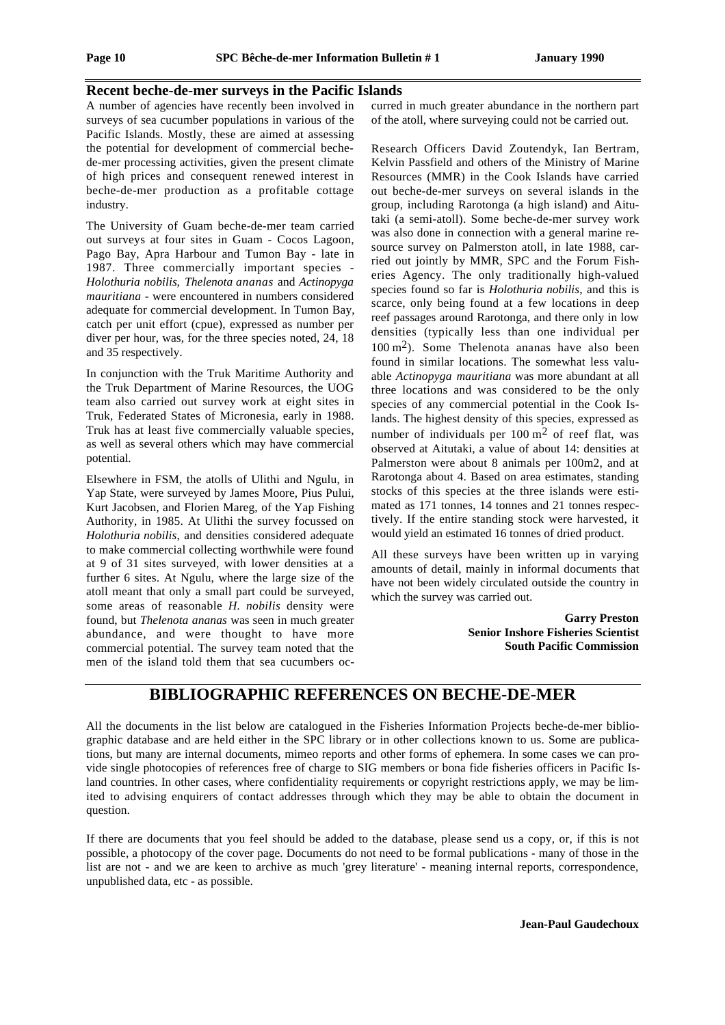#### **Recent beche-de-mer surveys in the Pacific Islands**

A number of agencies have recently been involved in surveys of sea cucumber populations in various of the Pacific Islands. Mostly, these are aimed at assessing the potential for development of commercial bechede-mer processing activities, given the present climate of high prices and consequent renewed interest in beche-de-mer production as a profitable cottage industry.

The University of Guam beche-de-mer team carried out surveys at four sites in Guam - Cocos Lagoon, Pago Bay, Apra Harbour and Tumon Bay - late in 1987. Three commercially important species - *Holothuria nobilis*, *Thelenota ananas* and *Actinopyga mauritiana* - were encountered in numbers considered adequate for commercial development. In Tumon Bay, catch per unit effort (cpue), expressed as number per diver per hour, was, for the three species noted, 24, 18 and 35 respectively.

In conjunction with the Truk Maritime Authority and the Truk Department of Marine Resources, the UOG team also carried out survey work at eight sites in Truk, Federated States of Micronesia, early in 1988. Truk has at least five commercially valuable species, as well as several others which may have commercial potential.

Elsewhere in FSM, the atolls of Ulithi and Ngulu, in Yap State, were surveyed by James Moore, Pius Pului, Kurt Jacobsen, and Florien Mareg, of the Yap Fishing Authority, in 1985. At Ulithi the survey focussed on *Holothuria nobilis*, and densities considered adequate to make commercial collecting worthwhile were found at 9 of 31 sites surveyed, with lower densities at a further 6 sites. At Ngulu, where the large size of the atoll meant that only a small part could be surveyed, some areas of reasonable *H. nobilis* density were found, but *Thelenota ananas* was seen in much greater abundance, and were thought to have more commercial potential. The survey team noted that the men of the island told them that sea cucumbers oc-

curred in much greater abundance in the northern part of the atoll, where surveying could not be carried out.

Research Officers David Zoutendyk, Ian Bertram, Kelvin Passfield and others of the Ministry of Marine Resources (MMR) in the Cook Islands have carried out beche-de-mer surveys on several islands in the group, including Rarotonga (a high island) and Aitutaki (a semi-atoll). Some beche-de-mer survey work was also done in connection with a general marine resource survey on Palmerston atoll, in late 1988, carried out jointly by MMR, SPC and the Forum Fisheries Agency. The only traditionally high-valued species found so far is *Holothuria nobilis*, and this is scarce, only being found at a few locations in deep reef passages around Rarotonga, and there only in low densities (typically less than one individual per  $100 \text{ m}^2$ ). Some Thelenota ananas have also been found in similar locations. The somewhat less valuable *Actinopyga mauritiana* was more abundant at all three locations and was considered to be the only species of any commercial potential in the Cook Islands. The highest density of this species, expressed as number of individuals per  $100 \text{ m}^2$  of reef flat, was observed at Aitutaki, a value of about 14: densities at Palmerston were about 8 animals per 100m2, and at Rarotonga about 4. Based on area estimates, standing stocks of this species at the three islands were estimated as 171 tonnes, 14 tonnes and 21 tonnes respectively. If the entire standing stock were harvested, it would yield an estimated 16 tonnes of dried product.

All these surveys have been written up in varying amounts of detail, mainly in informal documents that have not been widely circulated outside the country in which the survey was carried out.

> **Garry Preston Senior Inshore Fisheries Scientist South Pacific Commission**

# **BIBLIOGRAPHIC REFERENCES ON BECHE-DE-MER**

All the documents in the list below are catalogued in the Fisheries Information Projects beche-de-mer bibliographic database and are held either in the SPC library or in other collections known to us. Some are publications, but many are internal documents, mimeo reports and other forms of ephemera. In some cases we can provide single photocopies of references free of charge to SIG members or bona fide fisheries officers in Pacific Island countries. In other cases, where confidentiality requirements or copyright restrictions apply, we may be limited to advising enquirers of contact addresses through which they may be able to obtain the document in question.

If there are documents that you feel should be added to the database, please send us a copy, or, if this is not possible, a photocopy of the cover page. Documents do not need to be formal publications - many of those in the list are not - and we are keen to archive as much 'grey literature' - meaning internal reports, correspondence, unpublished data, etc - as possible.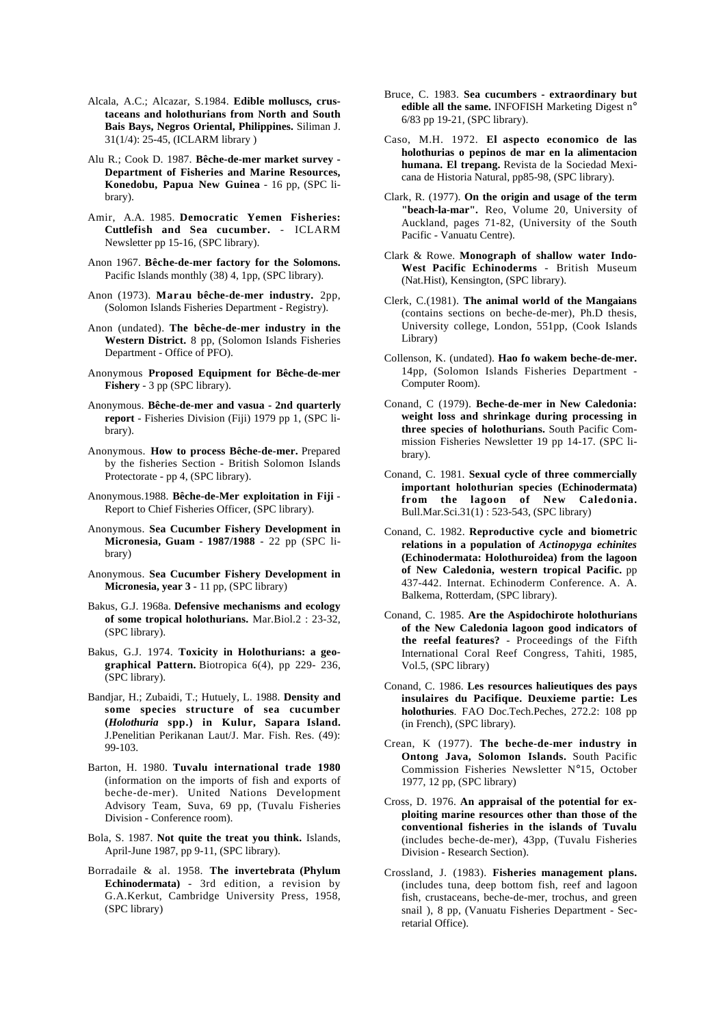- Alcala, A.C.; Alcazar, S.1984. **Edible molluscs, crustaceans and holothurians from North and South Bais Bays, Negros Oriental, Philippines.** Siliman J. 31(1/4): 25-45, (ICLARM library )
- Alu R.; Cook D. 1987. **Bêche-de-mer market survey - Department of Fisheries and Marine Resources, Konedobu, Papua New Guinea** - 16 pp, (SPC library).
- Amir, A.A. 1985. **Democratic Yemen Fisheries: Cuttlefish and Sea cucumber.** - ICLARM Newsletter pp 15-16, (SPC library).
- Anon 1967. **Bêche-de-mer factory for the Solomons.** Pacific Islands monthly (38) 4, 1pp, (SPC library).
- Anon (1973). **Marau bêche-de-mer industry.** 2pp, (Solomon Islands Fisheries Department - Registry).
- Anon (undated). **The bêche-de-mer industry in the Western District.** 8 pp, (Solomon Islands Fisheries Department - Office of PFO).
- Anonymous **Proposed Equipment for Bêche-de-mer Fishery** - 3 pp (SPC library).
- Anonymous. **Bêche-de-mer and vasua 2nd quarterly report** - Fisheries Division (Fiji) 1979 pp 1, (SPC library).
- Anonymous. **How to process Bêche-de-mer.** Prepared by the fisheries Section - British Solomon Islands Protectorate - pp 4, (SPC library).
- Anonymous.1988. **Bêche-de-Mer exploitation in Fiji** Report to Chief Fisheries Officer, (SPC library).
- Anonymous. **Sea Cucumber Fishery Development in Micronesia, Guam - 1987/1988** - 22 pp (SPC library)
- Anonymous. **Sea Cucumber Fishery Development in Micronesia, year 3** - 11 pp, (SPC library)
- Bakus, G.J. 1968a. **Defensive mechanisms and ecology of some tropical holothurians.** Mar.Biol.2 : 23-32, (SPC library).
- Bakus, G.J. 1974. **Toxicity in Holothurians: a geographical Pattern.** Biotropica 6(4), pp 229- 236, (SPC library).
- Bandjar, H.; Zubaidi, T.; Hutuely, L. 1988. **Density and some species structure of sea cucumber (***Holothuria* **spp.) in Kulur, Sapara Island.** J.Penelitian Perikanan Laut/J. Mar. Fish. Res. (49): 99-103.
- Barton, H. 1980. **Tuvalu international trade 1980** (information on the imports of fish and exports of beche-de-mer). United Nations Development Advisory Team, Suva, 69 pp, (Tuvalu Fisheries Division - Conference room).
- Bola, S. 1987. **Not quite the treat you think.** Islands, April-June 1987, pp 9-11, (SPC library).
- Borradaile & al. 1958. **The invertebrata (Phylum Echinodermata)** - 3rd edition, a revision by G.A.Kerkut, Cambridge University Press, 1958, (SPC library)
- Bruce, C. 1983. **Sea cucumbers extraordinary but edible all the same.** INFOFISH Marketing Digest n° 6/83 pp 19-21, (SPC library).
- Caso, M.H. 1972. **El aspecto economico de las holothurias o pepinos de mar en la alimentacion humana. El trepang.** Revista de la Sociedad Mexicana de Historia Natural, pp85-98, (SPC library).
- Clark, R. (1977). **On the origin and usage of the term "beach-la-mar".** Reo, Volume 20, University of Auckland, pages 71-82, (University of the South Pacific - Vanuatu Centre).
- Clark & Rowe. **Monograph of shallow water Indo-West Pacific Echinoderms** - British Museum (Nat.Hist), Kensington, (SPC library).
- Clerk, C.(1981). **The animal world of the Mangaians** (contains sections on beche-de-mer), Ph.D thesis, University college, London, 551pp, (Cook Islands Library)
- Collenson, K. (undated). **Hao fo wakem beche-de-mer.** 14pp, (Solomon Islands Fisheries Department - Computer Room).
- Conand, C (1979). **Beche-de-mer in New Caledonia: weight loss and shrinkage during processing in three species of holothurians.** South Pacific Commission Fisheries Newsletter 19 pp 14-17. (SPC library).
- Conand, C. 1981. **Sexual cycle of three commercially important holothurian species (Echinodermata) from the lagoon of New Caledonia.** Bull.Mar.Sci.31(1) : 523-543, (SPC library)
- Conand, C. 1982. **Reproductive cycle and biometric relations in a population of** *Actinopyga echinites* **(Echinodermata: Holothuroidea) from the lagoon of New Caledonia, western tropical Pacific.** pp 437-442. Internat. Echinoderm Conference. A. A. Balkema, Rotterdam, (SPC library).
- Conand, C. 1985. **Are the Aspidochirote holothurians of the New Caledonia lagoon good indicators of the reefal features?** - Proceedings of the Fifth International Coral Reef Congress, Tahiti, 1985, Vol.5, (SPC library)
- Conand, C. 1986. **Les resources halieutiques des pays insulaires du Pacifique. Deuxieme partie: Les holothuries**. FAO Doc.Tech.Peches, 272.2: 108 pp (in French), (SPC library).
- Crean, K (1977). **The beche-de-mer industry in Ontong Java, Solomon Islands.** South Pacific Commission Fisheries Newsletter N°15, October 1977, 12 pp, (SPC library)
- Cross, D. 1976. **An appraisal of the potential for exploiting marine resources other than those of the conventional fisheries in the islands of Tuvalu** (includes beche-de-mer), 43pp, (Tuvalu Fisheries Division - Research Section).
- Crossland, J. (1983). **Fisheries management plans.** (includes tuna, deep bottom fish, reef and lagoon fish, crustaceans, beche-de-mer, trochus, and green snail ), 8 pp, (Vanuatu Fisheries Department - Secretarial Office).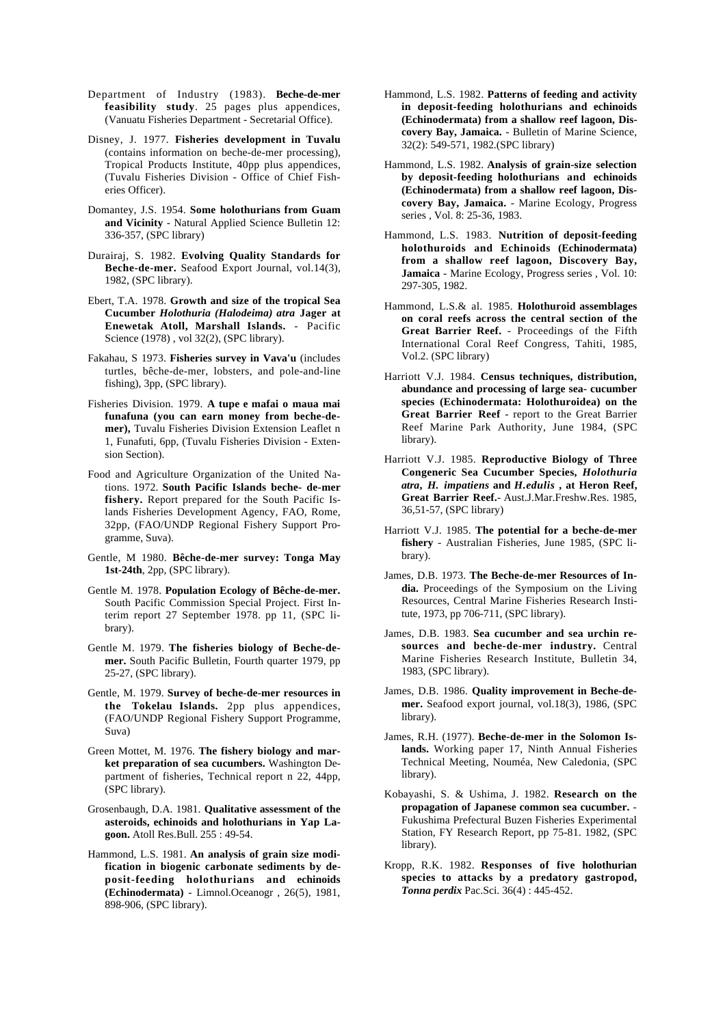- Department of Industry (1983). **Beche-de-mer feasibility study**. 25 pages plus appendices, (Vanuatu Fisheries Department - Secretarial Office).
- Disney, J. 1977. **Fisheries development in Tuvalu** (contains information on beche-de-mer processing), Tropical Products Institute, 40pp plus appendices, (Tuvalu Fisheries Division - Office of Chief Fisheries Officer).
- Domantey, J.S. 1954. **Some holothurians from Guam and Vicinity** - Natural Applied Science Bulletin 12: 336-357, (SPC library)
- Durairaj, S. 1982. **Evolving Quality Standards for Beche-de-mer.** Seafood Export Journal, vol.14(3), 1982, (SPC library).
- Ebert, T.A. 1978. **Growth and size of the tropical Sea Cucumber** *Holothuria (Halodeima) atra* **Jager at Enewetak Atoll, Marshall Islands.** - Pacific Science (1978) , vol 32(2), (SPC library).
- Fakahau, S 1973. **Fisheries survey in Vava'u** (includes turtles, bêche-de-mer, lobsters, and pole-and-line fishing), 3pp, (SPC library).
- Fisheries Division. 1979. **A tupe e mafai o maua mai funafuna (you can earn money from beche-demer),** Tuvalu Fisheries Division Extension Leaflet n 1, Funafuti, 6pp, (Tuvalu Fisheries Division - Extension Section).
- Food and Agriculture Organization of the United Nations. 1972. **South Pacific Islands beche- de-mer fishery.** Report prepared for the South Pacific Islands Fisheries Development Agency, FAO, Rome, 32pp, (FAO/UNDP Regional Fishery Support Programme, Suva).
- Gentle, M 1980. **Bêche-de-mer survey: Tonga May 1st-24th**, 2pp, (SPC library).
- Gentle M. 1978. **Population Ecology of Bêche-de-mer.** South Pacific Commission Special Project. First Interim report 27 September 1978. pp 11, (SPC library).
- Gentle M. 1979. **The fisheries biology of Beche-demer.** South Pacific Bulletin, Fourth quarter 1979, pp 25-27, (SPC library).
- Gentle, M. 1979. **Survey of beche-de-mer resources in the Tokelau Islands.** 2pp plus appendices, (FAO/UNDP Regional Fishery Support Programme, Suva)
- Green Mottet, M. 1976. **The fishery biology and market preparation of sea cucumbers.** Washington Department of fisheries, Technical report n 22, 44pp, (SPC library).
- Grosenbaugh, D.A. 1981. **Qualitative assessment of the asteroids, echinoids and holothurians in Yap Lagoon.** Atoll Res.Bull. 255 : 49-54.
- Hammond, L.S. 1981. **An analysis of grain size modification in biogenic carbonate sediments by deposit-feeding holothurians and echinoids (Echinodermata)** - Limnol.Oceanogr , 26(5), 1981, 898-906, (SPC library).
- Hammond, L.S. 1982. **Patterns of feeding and activity in deposit-feeding holothurians and echinoids (Echinodermata) from a shallow reef lagoon, Discovery Bay, Jamaica.** - Bulletin of Marine Science, 32(2): 549-571, 1982.(SPC library)
- Hammond, L.S. 1982. **Analysis of grain-size selection by deposit-feeding holothurians and echinoids (Echinodermata) from a shallow reef lagoon, Discovery Bay, Jamaica.** - Marine Ecology, Progress series , Vol. 8: 25-36, 1983.
- Hammond, L.S. 1983. **Nutrition of deposit-feeding holothuroids and Echinoids (Echinodermata) from a shallow reef lagoon, Discovery Bay, Jamaica** - Marine Ecology, Progress series , Vol. 10: 297-305, 1982.
- Hammond, L.S.& al. 1985. **Holothuroid assemblages on coral reefs across the central section of the Great Barrier Reef.** - Proceedings of the Fifth International Coral Reef Congress, Tahiti, 1985, Vol.2. (SPC library)
- Harriott V.J. 1984. **Census techniques, distribution, abundance and processing of large sea- cucumber species (Echinodermata: Holothuroidea) on the Great Barrier Reef** - report to the Great Barrier Reef Marine Park Authority, June 1984, (SPC library).
- Harriott V.J. 1985. **Reproductive Biology of Three Congeneric Sea Cucumber Species,** *Holothuria atra***,** *H. impatiens* **and** *H.edulis* **, at Heron Reef, Great Barrier Reef.**- Aust.J.Mar.Freshw.Res. 1985, 36,51-57, (SPC library)
- Harriott V.J. 1985. **The potential for a beche-de-mer fishery** - Australian Fisheries, June 1985, (SPC library).
- James, D.B. 1973. **The Beche-de-mer Resources of India.** Proceedings of the Symposium on the Living Resources, Central Marine Fisheries Research Institute, 1973, pp 706-711, (SPC library).
- James, D.B. 1983. **Sea cucumber and sea urchin resources and beche-de-mer industry.** Central Marine Fisheries Research Institute, Bulletin 34, 1983, (SPC library).
- James, D.B. 1986. **Quality improvement in Beche-demer.** Seafood export journal, vol.18(3), 1986, (SPC library).
- James, R.H. (1977). **Beche-de-mer in the Solomon Islands.** Working paper 17, Ninth Annual Fisheries Technical Meeting, Nouméa, New Caledonia, (SPC library).
- Kobayashi, S. & Ushima, J. 1982. **Research on the propagation of Japanese common sea cucumber.** - Fukushima Prefectural Buzen Fisheries Experimental Station, FY Research Report, pp 75-81. 1982, (SPC library).
- Kropp, R.K. 1982. **Responses of five holothurian species to attacks by a predatory gastropod,** *Tonna perdix* Pac.Sci. 36(4) : 445-452.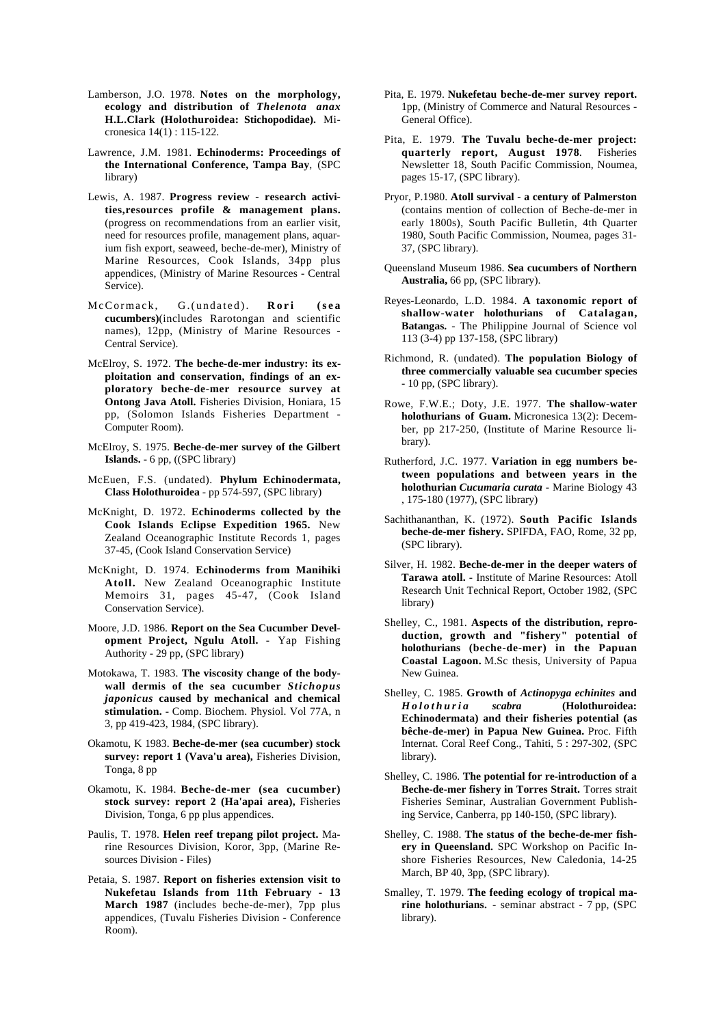- Lamberson, J.O. 1978. **Notes on the morphology, ecology and distribution of** *Thelenota anax* **H.L.Clark (Holothuroidea: Stichopodidae).** Micronesica 14(1) : 115-122.
- Lawrence, J.M. 1981. **Echinoderms: Proceedings of the International Conference, Tampa Bay**, (SPC library)
- Lewis, A. 1987. **Progress review research activities,resources profile & management plans.** (progress on recommendations from an earlier visit, need for resources profile, management plans, aquarium fish export, seaweed, beche-de-mer), Ministry of Marine Resources, Cook Islands, 34pp plus appendices, (Ministry of Marine Resources - Central Service).
- McCormack, G.(undated). **Rori (sea cucumbers)**(includes Rarotongan and scientific names), 12pp, (Ministry of Marine Resources - Central Service).
- McElroy, S. 1972. **The beche-de-mer industry: its exploitation and conservation, findings of an exploratory beche-de-mer resource survey at Ontong Java Atoll.** Fisheries Division, Honiara, 15 pp, (Solomon Islands Fisheries Department - Computer Room).
- McElroy, S. 1975. **Beche-de-mer survey of the Gilbert Islands.** - 6 pp, ((SPC library)
- McEuen, F.S. (undated). **Phylum Echinodermata, Class Holothuroidea** - pp 574-597, (SPC library)
- McKnight, D. 1972. **Echinoderms collected by the Cook Islands Eclipse Expedition 1965.** New Zealand Oceanographic Institute Records 1, pages 37-45, (Cook Island Conservation Service)
- McKnight, D. 1974. **Echinoderms from Manihiki Atoll.** New Zealand Oceanographic Institute Memoirs 31, pages 45-47, (Cook Island Conservation Service).
- Moore, J.D. 1986. **Report on the Sea Cucumber Development Project, Ngulu Atoll.** - Yap Fishing Authority - 29 pp, (SPC library)
- Motokawa, T. 1983. **The viscosity change of the bodywall dermis of the sea cucumber** *Stichopus japonicus* **caused by mechanical and chemical stimulation.** - Comp. Biochem. Physiol. Vol 77A, n 3, pp 419-423, 1984, (SPC library).
- Okamotu, K 1983. **Beche-de-mer (sea cucumber) stock survey: report 1 (Vava'u area),** Fisheries Division, Tonga, 8 pp
- Okamotu, K. 1984. **Beche-de-mer (sea cucumber) stock survey: report 2 (Ha'apai area),** Fisheries Division, Tonga, 6 pp plus appendices.
- Paulis, T. 1978. **Helen reef trepang pilot project.** Marine Resources Division, Koror, 3pp, (Marine Resources Division - Files)
- Petaia, S. 1987. **Report on fisheries extension visit to Nukefetau Islands from 11th February - 13 March 1987** (includes beche-de-mer), 7pp plus appendices, (Tuvalu Fisheries Division - Conference Room).
- Pita, E. 1979. **Nukefetau beche-de-mer survey report.** 1pp, (Ministry of Commerce and Natural Resources - General Office).
- Pita, E. 1979. **The Tuvalu beche-de-mer project: quarterly report, August 1978**. Fisheries Newsletter 18, South Pacific Commission, Noumea, pages 15-17, (SPC library).
- Pryor, P.1980. **Atoll survival a century of Palmerston** (contains mention of collection of Beche-de-mer in early 1800s), South Pacific Bulletin, 4th Quarter 1980, South Pacific Commission, Noumea, pages 31- 37, (SPC library).
- Queensland Museum 1986. **Sea cucumbers of Northern Australia,** 66 pp, (SPC library).
- Reyes-Leonardo, L.D. 1984. **A taxonomic report of shallow-water holothurians of Catalagan, Batangas.** - The Philippine Journal of Science vol 113 (3-4) pp 137-158, (SPC library)
- Richmond, R. (undated). **The population Biology of three commercially valuable sea cucumber species** - 10 pp, (SPC library).
- Rowe, F.W.E.; Doty, J.E. 1977. **The shallow-water holothurians of Guam.** Micronesica 13(2): December, pp 217-250, (Institute of Marine Resource library).
- Rutherford, J.C. 1977. **Variation in egg numbers between populations and between years in the holothurian** *Cucumaria curata* - Marine Biology 43 , 175-180 (1977), (SPC library)
- Sachithananthan, K. (1972). **South Pacific Islands beche-de-mer fishery.** SPIFDA, FAO, Rome, 32 pp, (SPC library).
- Silver, H. 1982. **Beche-de-mer in the deeper waters of Tarawa atoll.** - Institute of Marine Resources: Atoll Research Unit Technical Report, October 1982, (SPC library)
- Shelley, C., 1981. **Aspects of the distribution, reproduction, growth and "fishery" potential of holothurians (beche-de-mer) in the Papuan Coastal Lagoon.** M.Sc thesis, University of Papua New Guinea.
- Shelley, C. 1985. **Growth of** *Actinopyga echinites* **and** *Holothuria scabra* **(Holothuroidea: Echinodermata) and their fisheries potential (as bêche-de-mer) in Papua New Guinea.** Proc. Fifth Internat. Coral Reef Cong., Tahiti, 5 : 297-302, (SPC library).
- Shelley, C. 1986. **The potential for re-introduction of a Beche-de-mer fishery in Torres Strait.** Torres strait Fisheries Seminar, Australian Government Publishing Service, Canberra, pp 140-150, (SPC library).
- Shelley, C. 1988. **The status of the beche-de-mer fishery in Queensland.** SPC Workshop on Pacific Inshore Fisheries Resources, New Caledonia, 14-25 March, BP 40, 3pp, (SPC library).
- Smalley, T. 1979. **The feeding ecology of tropical marine holothurians.** - seminar abstract - 7 pp, (SPC library).